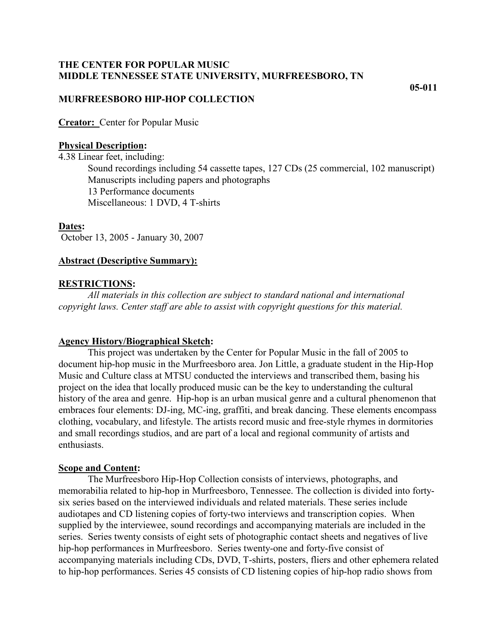# **THE CENTER FOR POPULAR MUSIC MIDDLE TENNESSEE STATE UNIVERSITY, MURFREESBORO, TN**

**05-011**

# **MURFREESBORO HIP-HOP COLLECTION**

**Creator:** Center for Popular Music

# **Physical Description:**

4.38 Linear feet, including: Sound recordings including 54 cassette tapes, 127 CDs (25 commercial, 102 manuscript) Manuscripts including papers and photographs 13 Performance documents Miscellaneous: 1 DVD, 4 T-shirts

# **Dates:**

October 13, 2005 - January 30, 2007

# **Abstract (Descriptive Summary):**

# **RESTRICTIONS:**

*All materials in this collection are subject to standard national and international copyright laws. Center staff are able to assist with copyright questions for this material.*

# **Agency History/Biographical Sketch:**

This project was undertaken by the Center for Popular Music in the fall of 2005 to document hip-hop music in the Murfreesboro area. Jon Little, a graduate student in the Hip-Hop Music and Culture class at MTSU conducted the interviews and transcribed them, basing his project on the idea that locally produced music can be the key to understanding the cultural history of the area and genre. Hip-hop is an urban musical genre and a cultural phenomenon that embraces four elements: DJ-ing, MC-ing, graffiti, and break dancing. These elements encompass clothing, vocabulary, and lifestyle. The artists record music and free-style rhymes in dormitories and small recordings studios, and are part of a local and regional community of artists and enthusiasts.

# **Scope and Content:**

The Murfreesboro Hip-Hop Collection consists of interviews, photographs, and memorabilia related to hip-hop in Murfreesboro, Tennessee. The collection is divided into fortysix series based on the interviewed individuals and related materials. These series include audiotapes and CD listening copies of forty-two interviews and transcription copies. When supplied by the interviewee, sound recordings and accompanying materials are included in the series. Series twenty consists of eight sets of photographic contact sheets and negatives of live hip-hop performances in Murfreesboro. Series twenty-one and forty-five consist of accompanying materials including CDs, DVD, T-shirts, posters, fliers and other ephemera related to hip-hop performances. Series 45 consists of CD listening copies of hip-hop radio shows from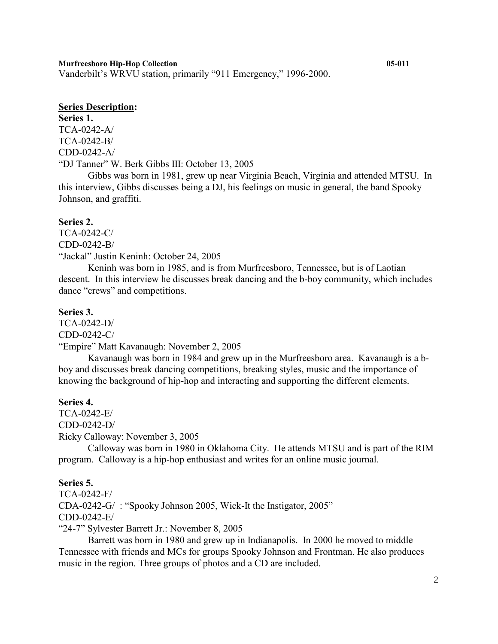Vanderbilt's WRVU station, primarily "911 Emergency," 1996-2000.

# **Series Description:**

**Series 1.**  TCA-0242-A/ TCA-0242-B/ CDD-0242-A/ "DJ Tanner" W. Berk Gibbs III: October 13, 2005

Gibbs was born in 1981, grew up near Virginia Beach, Virginia and attended MTSU. In this interview, Gibbs discusses being a DJ, his feelings on music in general, the band Spooky Johnson, and graffiti.

# **Series 2.**

TCA-0242-C/ CDD-0242-B/ "Jackal" Justin Keninh: October 24, 2005

Keninh was born in 1985, and is from Murfreesboro, Tennessee, but is of Laotian descent. In this interview he discusses break dancing and the b-boy community, which includes dance "crews" and competitions.

# **Series 3.**

TCA-0242-D/ CDD-0242-C/

"Empire" Matt Kavanaugh: November 2, 2005

Kavanaugh was born in 1984 and grew up in the Murfreesboro area. Kavanaugh is a bboy and discusses break dancing competitions, breaking styles, music and the importance of knowing the background of hip-hop and interacting and supporting the different elements.

# **Series 4.**

TCA-0242-E/ CDD-0242-D/ Ricky Calloway: November 3, 2005

Calloway was born in 1980 in Oklahoma City. He attends MTSU and is part of the RIM program. Calloway is a hip-hop enthusiast and writes for an online music journal.

# **Series 5.**

TCA-0242-F/ CDA-0242-G/ : "Spooky Johnson 2005, Wick-It the Instigator, 2005" CDD-0242-E/ "24-7" Sylvester Barrett Jr.: November 8, 2005

Barrett was born in 1980 and grew up in Indianapolis. In 2000 he moved to middle Tennessee with friends and MCs for groups Spooky Johnson and Frontman. He also produces music in the region. Three groups of photos and a CD are included.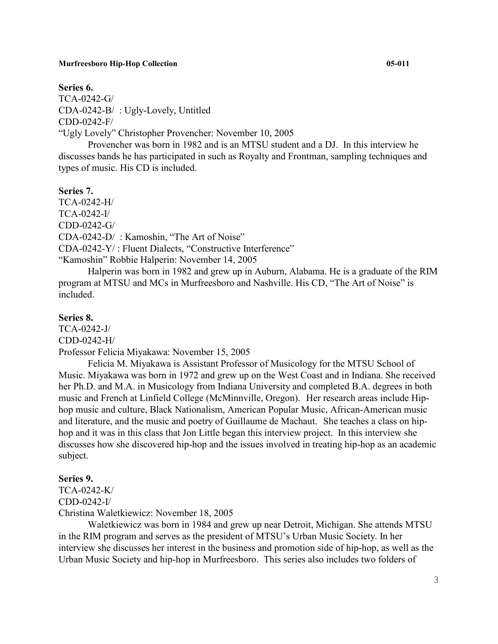#### **Series 6.**

TCA-0242-G/ CDA-0242-B/ : Ugly-Lovely, Untitled CDD-0242-F/

"Ugly Lovely" Christopher Provencher: November 10, 2005

Provencher was born in 1982 and is an MTSU student and a DJ. In this interview he discusses bands he has participated in such as Royalty and Frontman, sampling techniques and types of music. His CD is included.

#### **Series 7.**

TCA-0242-H/ TCA-0242-I/ CDD-0242-G/ CDA-0242-D/ : Kamoshin, "The Art of Noise"

CDA-0242-Y/ : Fluent Dialects, "Constructive Interference"

"Kamoshin" Robbie Halperin: November 14, 2005

Halperin was born in 1982 and grew up in Auburn, Alabama. He is a graduate of the RIM program at MTSU and MCs in Murfreesboro and Nashville. His CD, "The Art of Noise" is included.

# **Series 8.**

TCA-0242-J/ CDD-0242-H/

Professor Felicia Miyakawa: November 15, 2005

Felicia M. Miyakawa is Assistant Professor of Musicology for the MTSU School of Music. Miyakawa was born in 1972 and grew up on the West Coast and in Indiana. She received her Ph.D. and M.A. in Musicology from Indiana University and completed B.A. degrees in both music and French at Linfield College (McMinnville, Oregon). Her research areas include Hiphop music and culture, Black Nationalism, American Popular Music, African-American music and literature, and the music and poetry of Guillaume de Machaut. She teaches a class on hiphop and it was in this class that Jon Little began this interview project. In this interview she discusses how she discovered hip-hop and the issues involved in treating hip-hop as an academic subject.

# **Series 9.**

TCA-0242-K/ CDD-0242-I/

Christina Waletkiewicz: November 18, 2005

Waletkiewicz was born in 1984 and grew up near Detroit, Michigan. She attends MTSU in the RIM program and serves as the president of MTSU's Urban Music Society. In her interview she discusses her interest in the business and promotion side of hip-hop, as well as the Urban Music Society and hip-hop in Murfreesboro. This series also includes two folders of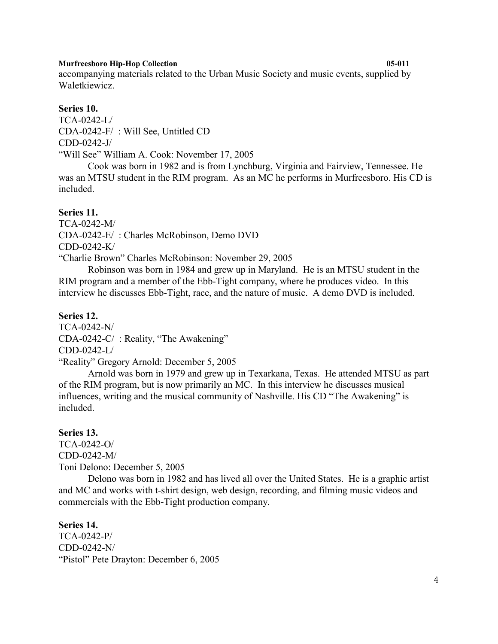accompanying materials related to the Urban Music Society and music events, supplied by Waletkiewicz.

# **Series 10.**

TCA-0242-L/ CDA-0242-F/ : Will See, Untitled CD CDD-0242-J/ "Will See" William A. Cook: November 17, 2005

Cook was born in 1982 and is from Lynchburg, Virginia and Fairview, Tennessee. He was an MTSU student in the RIM program. As an MC he performs in Murfreesboro. His CD is included.

# **Series 11.**

TCA-0242-M/ CDA-0242-E/ : Charles McRobinson, Demo DVD CDD-0242-K/

"Charlie Brown" Charles McRobinson: November 29, 2005

Robinson was born in 1984 and grew up in Maryland. He is an MTSU student in the RIM program and a member of the Ebb-Tight company, where he produces video. In this interview he discusses Ebb-Tight, race, and the nature of music. A demo DVD is included.

# **Series 12.**

TCA-0242-N/ CDA-0242-C/ : Reality, "The Awakening" CDD-0242-L/ "Reality" Gregory Arnold: December 5, 2005

Arnold was born in 1979 and grew up in Texarkana, Texas. He attended MTSU as part of the RIM program, but is now primarily an MC. In this interview he discusses musical influences, writing and the musical community of Nashville. His CD "The Awakening" is included.

# **Series 13.**

TCA-0242-O/ CDD-0242-M/ Toni Delono: December 5, 2005

Delono was born in 1982 and has lived all over the United States. He is a graphic artist and MC and works with t-shirt design, web design, recording, and filming music videos and commercials with the Ebb-Tight production company.

# **Series 14.**

TCA-0242-P/ CDD-0242-N/ "Pistol" Pete Drayton: December 6, 2005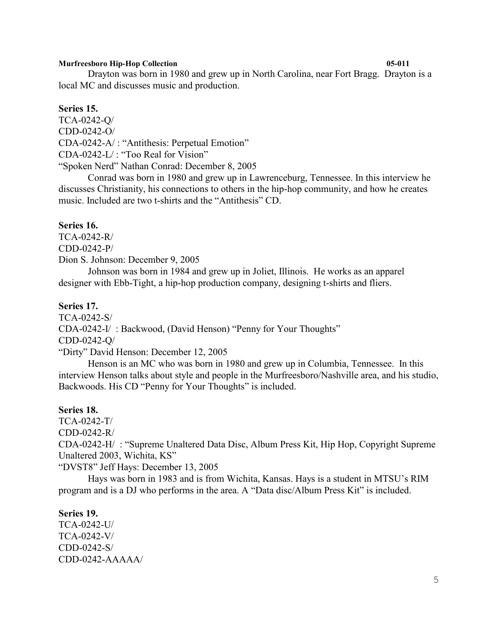Drayton was born in 1980 and grew up in North Carolina, near Fort Bragg. Drayton is a local MC and discusses music and production.

#### **Series 15.**

TCA-0242-Q/ CDD-0242-O/ CDA-0242-A/ : "Antithesis: Perpetual Emotion" CDA-0242-L/ : "Too Real for Vision" "Spoken Nerd" Nathan Conrad: December 8, 2005

Conrad was born in 1980 and grew up in Lawrenceburg, Tennessee. In this interview he discusses Christianity, his connections to others in the hip-hop community, and how he creates music. Included are two t-shirts and the "Antithesis" CD.

## **Series 16.**

TCA-0242-R/ CDD-0242-P/

Dion S. Johnson: December 9, 2005

Johnson was born in 1984 and grew up in Joliet, Illinois. He works as an apparel designer with Ebb-Tight, a hip-hop production company, designing t-shirts and fliers.

# **Series 17.**

TCA-0242-S/ CDA-0242-I/ : Backwood, (David Henson) "Penny for Your Thoughts" CDD-0242-Q/

"Dirty" David Henson: December 12, 2005

Henson is an MC who was born in 1980 and grew up in Columbia, Tennessee. In this interview Henson talks about style and people in the Murfreesboro/Nashville area, and his studio, Backwoods. His CD "Penny for Your Thoughts" is included.

## **Series 18.**

TCA-0242-T/

CDD-0242-R/

CDA-0242-H/ : "Supreme Unaltered Data Disc, Album Press Kit, Hip Hop, Copyright Supreme Unaltered 2003, Wichita, KS"

"DVST8" Jeff Hays: December 13, 2005

Hays was born in 1983 and is from Wichita, Kansas. Hays is a student in MTSU's RIM program and is a DJ who performs in the area. A "Data disc/Album Press Kit" is included.

#### **Series 19.**

TCA-0242-U/ TCA-0242-V/ CDD-0242-S/ CDD-0242-AAAAA/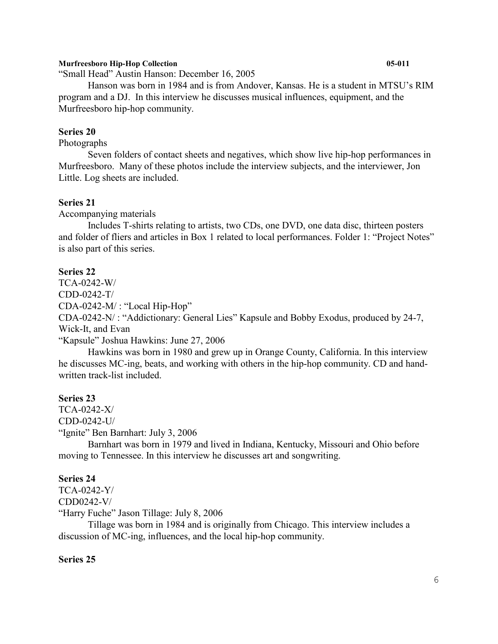"Small Head" Austin Hanson: December 16, 2005

Hanson was born in 1984 and is from Andover, Kansas. He is a student in MTSU's RIM program and a DJ. In this interview he discusses musical influences, equipment, and the Murfreesboro hip-hop community.

## **Series 20**

# Photographs

Seven folders of contact sheets and negatives, which show live hip-hop performances in Murfreesboro. Many of these photos include the interview subjects, and the interviewer, Jon Little. Log sheets are included.

## **Series 21**

Accompanying materials

Includes T-shirts relating to artists, two CDs, one DVD, one data disc, thirteen posters and folder of fliers and articles in Box 1 related to local performances. Folder 1: "Project Notes" is also part of this series.

#### **Series 22**

TCA-0242-W/ CDD-0242-T/ CDA-0242-M/ : "Local Hip-Hop" CDA-0242-N/ : "Addictionary: General Lies" Kapsule and Bobby Exodus, produced by 24-7, Wick-It, and Evan

"Kapsule" Joshua Hawkins: June 27, 2006

Hawkins was born in 1980 and grew up in Orange County, California. In this interview he discusses MC-ing, beats, and working with others in the hip-hop community. CD and handwritten track-list included.

# **Series 23**

TCA-0242-X/ CDD-0242-U/

"Ignite" Ben Barnhart: July 3, 2006

Barnhart was born in 1979 and lived in Indiana, Kentucky, Missouri and Ohio before moving to Tennessee. In this interview he discusses art and songwriting.

#### **Series 24**

TCA-0242-Y/ CDD0242-V/

"Harry Fuche" Jason Tillage: July 8, 2006

Tillage was born in 1984 and is originally from Chicago. This interview includes a discussion of MC-ing, influences, and the local hip-hop community.

# **Series 25**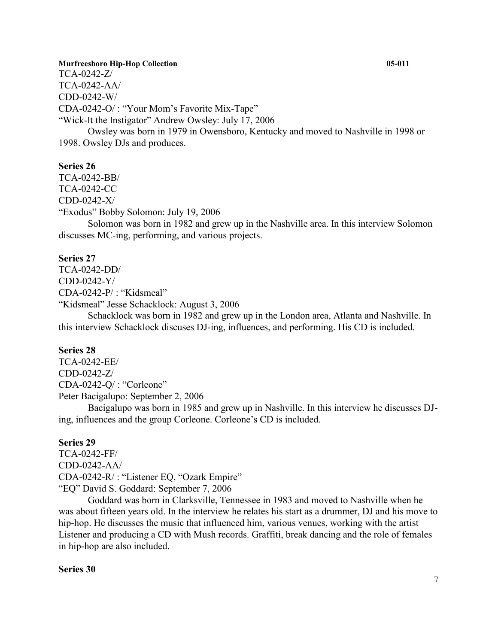TCA-0242-Z/ TCA-0242-AA/ CDD-0242-W/ CDA-0242-O/ : "Your Mom's Favorite Mix-Tape" "Wick-It the Instigator" Andrew Owsley: July 17, 2006 Owsley was born in 1979 in Owensboro, Kentucky and moved to Nashville in 1998 or 1998. Owsley DJs and produces.

**Series 26**

TCA-0242-BB/

TCA-0242-CC

CDD-0242-X/

"Exodus" Bobby Solomon: July 19, 2006

Solomon was born in 1982 and grew up in the Nashville area. In this interview Solomon discusses MC-ing, performing, and various projects.

## **Series 27**

TCA-0242-DD/ CDD-0242-Y/ CDA-0242-P/ : "Kidsmeal" "Kidsmeal" Jesse Schacklock: August 3, 2006

Schacklock was born in 1982 and grew up in the London area, Atlanta and Nashville. In this interview Schacklock discuses DJ-ing, influences, and performing. His CD is included.

# **Series 28**

TCA-0242-EE/ CDD-0242-Z/ CDA-0242-Q/ : "Corleone" Peter Bacigalupo: September 2, 2006

Bacigalupo was born in 1985 and grew up in Nashville. In this interview he discusses DJing, influences and the group Corleone. Corleone's CD is included.

#### **Series 29**

TCA-0242-FF/ CDD-0242-AA/ CDA-0242-R/ : "Listener EQ, "Ozark Empire" "EQ" David S. Goddard: September 7, 2006

Goddard was born in Clarksville, Tennessee in 1983 and moved to Nashville when he was about fifteen years old. In the interview he relates his start as a drummer, DJ and his move to hip-hop. He discusses the music that influenced him, various venues, working with the artist Listener and producing a CD with Mush records. Graffiti, break dancing and the role of females in hip-hop are also included.

## **Series 30**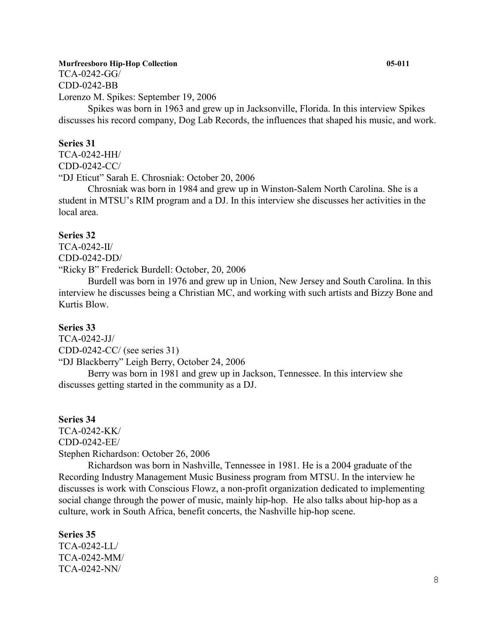TCA-0242-GG/ CDD-0242-BB

Lorenzo M. Spikes: September 19, 2006

Spikes was born in 1963 and grew up in Jacksonville, Florida. In this interview Spikes discusses his record company, Dog Lab Records, the influences that shaped his music, and work.

# **Series 31**

TCA-0242-HH/ CDD-0242-CC/ "DJ Eticut" Sarah E. Chrosniak: October 20, 2006

Chrosniak was born in 1984 and grew up in Winston-Salem North Carolina. She is a student in MTSU's RIM program and a DJ. In this interview she discusses her activities in the local area.

#### **Series 32**

TCA-0242-II/ CDD-0242-DD/ "Ricky B" Frederick Burdell: October, 20, 2006

Burdell was born in 1976 and grew up in Union, New Jersey and South Carolina. In this interview he discusses being a Christian MC, and working with such artists and Bizzy Bone and Kurtis Blow.

# **Series 33**

TCA-0242-JJ/

CDD-0242-CC/ (see series 31)

"DJ Blackberry" Leigh Berry, October 24, 2006

Berry was born in 1981 and grew up in Jackson, Tennessee. In this interview she discusses getting started in the community as a DJ.

#### **Series 34**

TCA-0242-KK/ CDD-0242-EE/ Stephen Richardson: October 26, 2006

Richardson was born in Nashville, Tennessee in 1981. He is a 2004 graduate of the Recording Industry Management Music Business program from MTSU. In the interview he discusses is work with Conscious Flowz, a non-profit organization dedicated to implementing social change through the power of music, mainly hip-hop. He also talks about hip-hop as a culture, work in South Africa, benefit concerts, the Nashville hip-hop scene.

#### **Series 35**

TCA-0242-LL/ TCA-0242-MM/ TCA-0242-NN/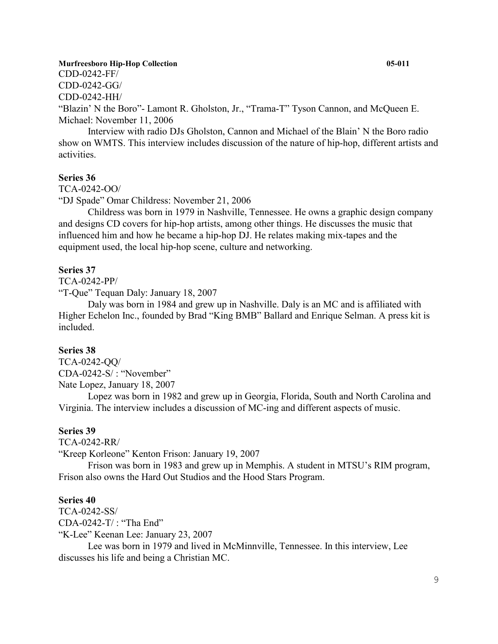CDD-0242-FF/ CDD-0242-GG/

CDD-0242-HH/

"Blazin' N the Boro"- Lamont R. Gholston, Jr., "Trama-T" Tyson Cannon, and McQueen E. Michael: November 11, 2006

Interview with radio DJs Gholston, Cannon and Michael of the Blain' N the Boro radio show on WMTS. This interview includes discussion of the nature of hip-hop, different artists and activities.

# **Series 36**

TCA-0242-OO/

"DJ Spade" Omar Childress: November 21, 2006

Childress was born in 1979 in Nashville, Tennessee. He owns a graphic design company and designs CD covers for hip-hop artists, among other things. He discusses the music that influenced him and how he became a hip-hop DJ. He relates making mix-tapes and the equipment used, the local hip-hop scene, culture and networking.

#### **Series 37**

TCA-0242-PP/

"T-Que" Tequan Daly: January 18, 2007

Daly was born in 1984 and grew up in Nashville. Daly is an MC and is affiliated with Higher Echelon Inc., founded by Brad "King BMB" Ballard and Enrique Selman. A press kit is included.

# **Series 38**

TCA-0242-QQ/ CDA-0242-S/ : "November" Nate Lopez, January 18, 2007

Lopez was born in 1982 and grew up in Georgia, Florida, South and North Carolina and Virginia. The interview includes a discussion of MC-ing and different aspects of music.

## **Series 39**

TCA-0242-RR/

"Kreep Korleone" Kenton Frison: January 19, 2007

Frison was born in 1983 and grew up in Memphis. A student in MTSU's RIM program, Frison also owns the Hard Out Studios and the Hood Stars Program.

#### **Series 40**

TCA-0242-SS/

CDA-0242-T/ : "Tha End"

"K-Lee" Keenan Lee: January 23, 2007

Lee was born in 1979 and lived in McMinnville, Tennessee. In this interview, Lee discusses his life and being a Christian MC.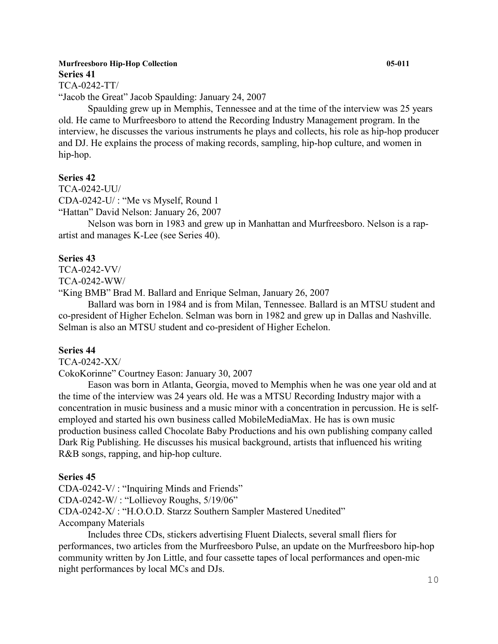# **Murfreesboro Hip-Hop Collection 05-011 Series 41**

TCA-0242-TT/

"Jacob the Great" Jacob Spaulding: January 24, 2007

Spaulding grew up in Memphis, Tennessee and at the time of the interview was 25 years old. He came to Murfreesboro to attend the Recording Industry Management program. In the interview, he discusses the various instruments he plays and collects, his role as hip-hop producer and DJ. He explains the process of making records, sampling, hip-hop culture, and women in hip-hop.

# **Series 42**

TCA-0242-UU/ CDA-0242-U/ : "Me vs Myself, Round 1 "Hattan" David Nelson: January 26, 2007

Nelson was born in 1983 and grew up in Manhattan and Murfreesboro. Nelson is a rapartist and manages K-Lee (see Series 40).

# **Series 43**

TCA-0242-VV/

TCA-0242-WW/

"King BMB" Brad M. Ballard and Enrique Selman, January 26, 2007

Ballard was born in 1984 and is from Milan, Tennessee. Ballard is an MTSU student and co-president of Higher Echelon. Selman was born in 1982 and grew up in Dallas and Nashville. Selman is also an MTSU student and co-president of Higher Echelon.

# **Series 44**

TCA-0242-XX/

CokoKorinne" Courtney Eason: January 30, 2007

Eason was born in Atlanta, Georgia, moved to Memphis when he was one year old and at the time of the interview was 24 years old. He was a MTSU Recording Industry major with a concentration in music business and a music minor with a concentration in percussion. He is selfemployed and started his own business called MobileMediaMax. He has is own music production business called Chocolate Baby Productions and his own publishing company called Dark Rig Publishing. He discusses his musical background, artists that influenced his writing R&B songs, rapping, and hip-hop culture.

# **Series 45**

CDA-0242-V/ : "Inquiring Minds and Friends"

CDA-0242-W/ : "Lollievoy Roughs, 5/19/06"

CDA-0242-X/ : "H.O.O.D. Starzz Southern Sampler Mastered Unedited"

Accompany Materials

Includes three CDs, stickers advertising Fluent Dialects, several small fliers for performances, two articles from the Murfreesboro Pulse, an update on the Murfreesboro hip-hop community written by Jon Little, and four cassette tapes of local performances and open-mic night performances by local MCs and DJs.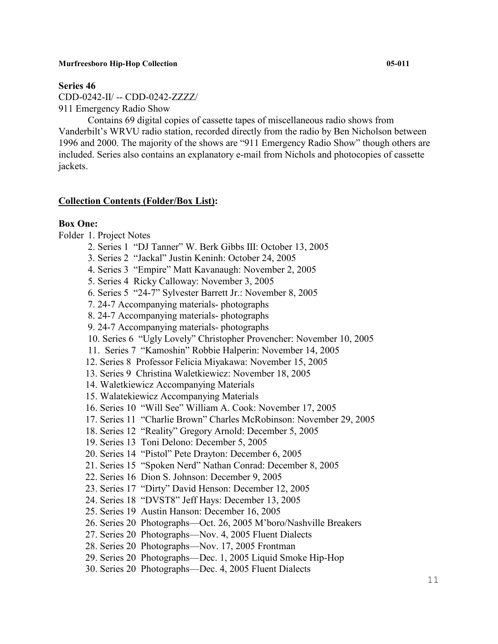#### **Series 46**

CDD-0242-II/ -- CDD-0242-ZZZZ/ 911 Emergency Radio Show

Contains 69 digital copies of cassette tapes of miscellaneous radio shows from Vanderbilt's WRVU radio station, recorded directly from the radio by Ben Nicholson between 1996 and 2000. The majority of the shows are "911 Emergency Radio Show" though others are included. Series also contains an explanatory e-mail from Nichols and photocopies of cassette jackets.

#### **Collection Contents (Folder/Box List):**

### **Box One:**

Folder 1. Project Notes

- 2. Series 1 "DJ Tanner" W. Berk Gibbs III: October 13, 2005
- 3. Series 2 "Jackal" Justin Keninh: October 24, 2005
- 4. Series 3 "Empire" Matt Kavanaugh: November 2, 2005
- 5. Series 4 Ricky Calloway: November 3, 2005
- 6. Series 5 "24-7" Sylvester Barrett Jr.: November 8, 2005
- 7. 24-7 Accompanying materials- photographs
- 8. 24-7 Accompanying materials- photographs
- 9. 24-7 Accompanying materials- photographs
- 10. Series 6 "Ugly Lovely" Christopher Provencher: November 10, 2005
- 11. Series 7 "Kamoshin" Robbie Halperin: November 14, 2005
- 12. Series 8 Professor Felicia Miyakawa: November 15, 2005
- 13. Series 9 Christina Waletkiewicz: November 18, 2005
- 14. Waletkiewicz Accompanying Materials
- 15. Walatekiewicz Accompanying Materials
- 16. Series 10 "Will See" William A. Cook: November 17, 2005
- 17. Series 11 "Charlie Brown" Charles McRobinson: November 29, 2005
- 18. Series 12 "Reality" Gregory Arnold: December 5, 2005
- 19. Series 13 Toni Delono: December 5, 2005
- 20. Series 14 "Pistol" Pete Drayton: December 6, 2005
- 21. Series 15 "Spoken Nerd" Nathan Conrad: December 8, 2005
- 22. Series 16 Dion S. Johnson: December 9, 2005
- 23. Series 17 "Dirty" David Henson: December 12, 2005
- 24. Series 18 "DVST8" Jeff Hays: December 13, 2005
- 25. Series 19 Austin Hanson: December 16, 2005
- 26. Series 20 Photographs—Oct. 26, 2005 M'boro/Nashville Breakers
- 27. Series 20 Photographs—Nov. 4, 2005 Fluent Dialects
- 28. Series 20 Photographs—Nov. 17, 2005 Frontman
- 29. Series 20 Photographs—Dec. 1, 2005 Liquid Smoke Hip-Hop
- 30. Series 20 Photographs—Dec. 4, 2005 Fluent Dialects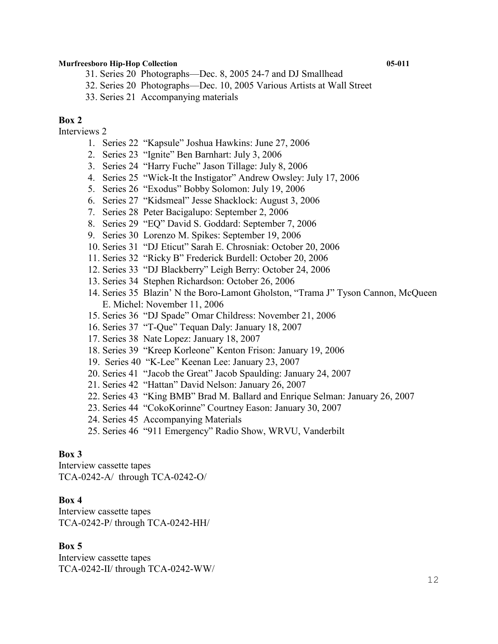31. Series 20 Photographs—Dec. 8, 2005 24-7 and DJ Smallhead

32. Series 20 Photographs—Dec. 10, 2005 Various Artists at Wall Street

33. Series 21 Accompanying materials

# **Box 2**

Interviews 2

- 1. Series 22 "Kapsule" Joshua Hawkins: June 27, 2006
- 2. Series 23 "Ignite" Ben Barnhart: July 3, 2006
- 3. Series 24 "Harry Fuche" Jason Tillage: July 8, 2006
- 4. Series 25 "Wick-It the Instigator" Andrew Owsley: July 17, 2006
- 5. Series 26 "Exodus" Bobby Solomon: July 19, 2006
- 6. Series 27 "Kidsmeal" Jesse Shacklock: August 3, 2006
- 7. Series 28 Peter Bacigalupo: September 2, 2006
- 8. Series 29 "EQ" David S. Goddard: September 7, 2006
- 9. Series 30 Lorenzo M. Spikes: September 19, 2006
- 10. Series 31 "DJ Eticut" Sarah E. Chrosniak: October 20, 2006
- 11. Series 32 "Ricky B" Frederick Burdell: October 20, 2006
- 12. Series 33 "DJ Blackberry" Leigh Berry: October 24, 2006
- 13. Series 34 Stephen Richardson: October 26, 2006
- 14. Series 35 Blazin' N the Boro-Lamont Gholston, "Trama J" Tyson Cannon, McQueen E. Michel: November 11, 2006
- 15. Series 36 "DJ Spade" Omar Childress: November 21, 2006
- 16. Series 37 "T-Que" Tequan Daly: January 18, 2007
- 17. Series 38 Nate Lopez: January 18, 2007
- 18. Series 39 "Kreep Korleone" Kenton Frison: January 19, 2006
- 19. Series 40 "K-Lee" Keenan Lee: January 23, 2007
- 20. Series 41 "Jacob the Great" Jacob Spaulding: January 24, 2007
- 21. Series 42 "Hattan" David Nelson: January 26, 2007
- 22. Series 43 "King BMB" Brad M. Ballard and Enrique Selman: January 26, 2007
- 23. Series 44 "CokoKorinne" Courtney Eason: January 30, 2007
- 24. Series 45 Accompanying Materials
- 25. Series 46 "911 Emergency" Radio Show, WRVU, Vanderbilt

# **Box 3**

Interview cassette tapes TCA-0242-A/ through TCA-0242-O/

# **Box 4**

Interview cassette tapes TCA-0242-P/ through TCA-0242-HH/

# **Box 5**

Interview cassette tapes TCA-0242-II/ through TCA-0242-WW/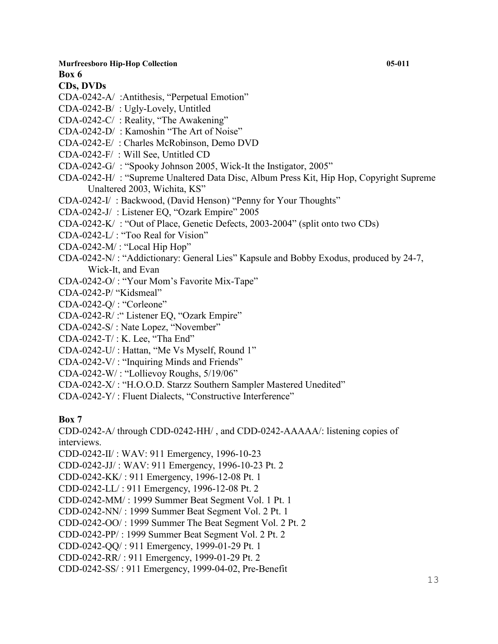# **CDs, DVDs**

- CDA-0242-A/ :Antithesis, "Perpetual Emotion"
- CDA-0242-B/ : Ugly-Lovely, Untitled
- CDA-0242-C/ : Reality, "The Awakening"
- CDA-0242-D/ : Kamoshin "The Art of Noise"
- CDA-0242-E/ : Charles McRobinson, Demo DVD
- CDA-0242-F/ : Will See, Untitled CD
- CDA-0242-G/ : "Spooky Johnson 2005, Wick-It the Instigator, 2005"
- CDA-0242-H/ : "Supreme Unaltered Data Disc, Album Press Kit, Hip Hop, Copyright Supreme Unaltered 2003, Wichita, KS"
- CDA-0242-I/ : Backwood, (David Henson) "Penny for Your Thoughts"
- CDA-0242-J/ : Listener EQ, "Ozark Empire" 2005
- CDA-0242-K/ : "Out of Place, Genetic Defects, 2003-2004" (split onto two CDs)
- CDA-0242-L/ : "Too Real for Vision"
- CDA-0242-M/ : "Local Hip Hop"
- CDA-0242-N/ : "Addictionary: General Lies" Kapsule and Bobby Exodus, produced by 24-7, Wick-It, and Evan
- CDA-0242-O/ : "Your Mom's Favorite Mix-Tape"
- CDA-0242-P/ "Kidsmeal"
- CDA-0242-Q/ : "Corleone"
- CDA-0242-R/ :" Listener EQ, "Ozark Empire"
- CDA-0242-S/ : Nate Lopez, "November"
- CDA-0242-T/ : K. Lee, "Tha End"
- CDA-0242-U/ : Hattan, "Me Vs Myself, Round 1"
- CDA-0242-V/ : "Inquiring Minds and Friends"
- CDA-0242-W/ : "Lollievoy Roughs, 5/19/06"
- CDA-0242-X/ : "H.O.O.D. Starzz Southern Sampler Mastered Unedited"
- CDA-0242-Y/ : Fluent Dialects, "Constructive Interference"

# **Box 7**

CDD-0242-A/ through CDD-0242-HH/ , and CDD-0242-AAAAA/: listening copies of interviews.

CDD-0242-II/ : WAV: 911 Emergency, 1996-10-23

CDD-0242-JJ/ : WAV: 911 Emergency, 1996-10-23 Pt. 2

- CDD-0242-KK/ : 911 Emergency, 1996-12-08 Pt. 1
- CDD-0242-LL/ : 911 Emergency, 1996-12-08 Pt. 2
- CDD-0242-MM/ : 1999 Summer Beat Segment Vol. 1 Pt. 1

CDD-0242-NN/ : 1999 Summer Beat Segment Vol. 2 Pt. 1

CDD-0242-OO/ : 1999 Summer The Beat Segment Vol. 2 Pt. 2

- CDD-0242-PP/ : 1999 Summer Beat Segment Vol. 2 Pt. 2
- CDD-0242-QQ/ : 911 Emergency, 1999-01-29 Pt. 1
- CDD-0242-RR/ : 911 Emergency, 1999-01-29 Pt. 2
- CDD-0242-SS/ : 911 Emergency, 1999-04-02, Pre-Benefit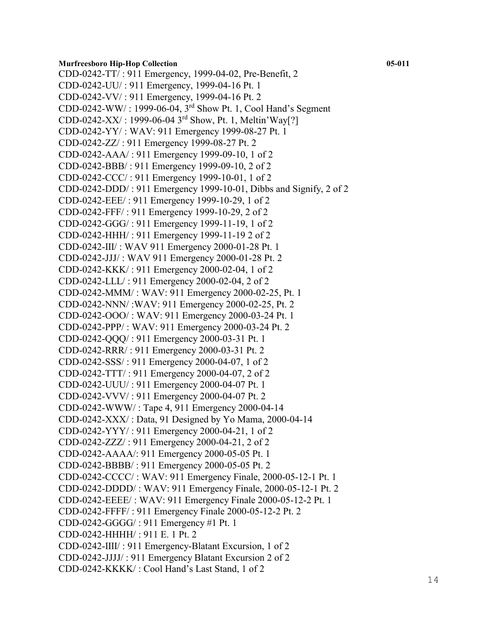CDD-0242-TT/ : 911 Emergency, 1999-04-02, Pre-Benefit, 2 CDD-0242-UU/ : 911 Emergency, 1999-04-16 Pt. 1 CDD-0242-VV/ : 911 Emergency, 1999-04-16 Pt. 2 CDD-0242-WW/ : 1999-06-04, 3rd Show Pt. 1, Cool Hand's Segment CDD-0242-XX/ : 1999-06-04 3rd Show, Pt. 1, Meltin'Way[?] CDD-0242-YY/ : WAV: 911 Emergency 1999-08-27 Pt. 1 CDD-0242-ZZ/ : 911 Emergency 1999-08-27 Pt. 2 CDD-0242-AAA/ : 911 Emergency 1999-09-10, 1 of 2 CDD-0242-BBB/ : 911 Emergency 1999-09-10, 2 of 2 CDD-0242-CCC/ : 911 Emergency 1999-10-01, 1 of 2 CDD-0242-DDD/ : 911 Emergency 1999-10-01, Dibbs and Signify, 2 of 2 CDD-0242-EEE/ : 911 Emergency 1999-10-29, 1 of 2 CDD-0242-FFF/ : 911 Emergency 1999-10-29, 2 of 2 CDD-0242-GGG/ : 911 Emergency 1999-11-19, 1 of 2 CDD-0242-HHH/ : 911 Emergency 1999-11-19 2 of 2 CDD-0242-III/ : WAV 911 Emergency 2000-01-28 Pt. 1 CDD-0242-JJJ/ : WAV 911 Emergency 2000-01-28 Pt. 2 CDD-0242-KKK/ : 911 Emergency 2000-02-04, 1 of 2 CDD-0242-LLL/ : 911 Emergency 2000-02-04, 2 of 2 CDD-0242-MMM/ : WAV: 911 Emergency 2000-02-25, Pt. 1 CDD-0242-NNN/ :WAV: 911 Emergency 2000-02-25, Pt. 2 CDD-0242-OOO/ : WAV: 911 Emergency 2000-03-24 Pt. 1 CDD-0242-PPP/ : WAV: 911 Emergency 2000-03-24 Pt. 2 CDD-0242-QQQ/ : 911 Emergency 2000-03-31 Pt. 1 CDD-0242-RRR/ : 911 Emergency 2000-03-31 Pt. 2 CDD-0242-SSS/ : 911 Emergency 2000-04-07, 1 of 2 CDD-0242-TTT/ : 911 Emergency 2000-04-07, 2 of 2 CDD-0242-UUU/ : 911 Emergency 2000-04-07 Pt. 1 CDD-0242-VVV/ : 911 Emergency 2000-04-07 Pt. 2 CDD-0242-WWW/ : Tape 4, 911 Emergency 2000-04-14 CDD-0242-XXX/ : Data, 91 Designed by Yo Mama, 2000-04-14 CDD-0242-YYY/ : 911 Emergency 2000-04-21, 1 of 2 CDD-0242-ZZZ/ : 911 Emergency 2000-04-21, 2 of 2 CDD-0242-AAAA/: 911 Emergency 2000-05-05 Pt. 1 CDD-0242-BBBB/ : 911 Emergency 2000-05-05 Pt. 2 CDD-0242-CCCC/ : WAV: 911 Emergency Finale, 2000-05-12-1 Pt. 1 CDD-0242-DDDD/ : WAV: 911 Emergency Finale, 2000-05-12-1 Pt. 2 CDD-0242-EEEE/ : WAV: 911 Emergency Finale 2000-05-12-2 Pt. 1 CDD-0242-FFFF/ : 911 Emergency Finale 2000-05-12-2 Pt. 2 CDD-0242-GGGG/ : 911 Emergency #1 Pt. 1 CDD-0242-HHHH/ : 911 E. 1 Pt. 2 CDD-0242-IIII/ : 911 Emergency-Blatant Excursion, 1 of 2 CDD-0242-JJJJ/ : 911 Emergency Blatant Excursion 2 of 2 CDD-0242-KKKK/ : Cool Hand's Last Stand, 1 of 2